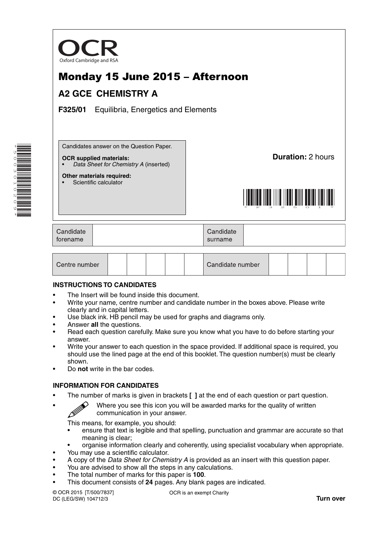

# Monday 15 June 2015 – Afternoon

## **A2 GCE CHEMISTRY A**

**F325/01** Equilibria, Energetics and Elements

Candidates answer on the Question Paper.

#### **OCR supplied materials:**

**Other materials required:** Scientific calculator

• *Data Sheet for Chemistry A* (inserted)

**Duration:** 2 hours



| Candidate<br>forename |  | Candidate<br>surname |  |
|-----------------------|--|----------------------|--|
|-----------------------|--|----------------------|--|

| Centre number |  |  |  |  |  | Candidate number |  |  |  |  |  |
|---------------|--|--|--|--|--|------------------|--|--|--|--|--|
|---------------|--|--|--|--|--|------------------|--|--|--|--|--|

### **INSTRUCTIONS TO CANDIDATES**

- The Insert will be found inside this document.
- Write your name, centre number and candidate number in the boxes above. Please write clearly and in capital letters.
- Use black ink. HB pencil may be used for graphs and diagrams only.
- Answer **all** the questions.
- Read each question carefully. Make sure you know what you have to do before starting your answer.
- Write your answer to each question in the space provided. If additional space is required, you should use the lined page at the end of this booklet. The question number(s) must be clearly shown.
- Do **not** write in the bar codes.

### **INFORMATION FOR CANDIDATES**

- The number of marks is given in brackets **[ ]** at the end of each question or part question.
	- Where you see this icon you will be awarded marks for the quality of written communication in your answer.

This means, for example, you should:

- ensure that text is legible and that spelling, punctuation and grammar are accurate so that meaning is clear;
- organise information clearly and coherently, using specialist vocabulary when appropriate.
- You may use a scientific calculator.
- A copy of the *Data Sheet for Chemistry A* is provided as an insert with this question paper.
- You are advised to show all the steps in any calculations.
- The total number of marks for this paper is **100**.
- This document consists of **24** pages. Any blank pages are indicated.

© OCR 2015 [T/500/7837] DC (LEG/SW) 104712/3

OCR is an exempt Charity

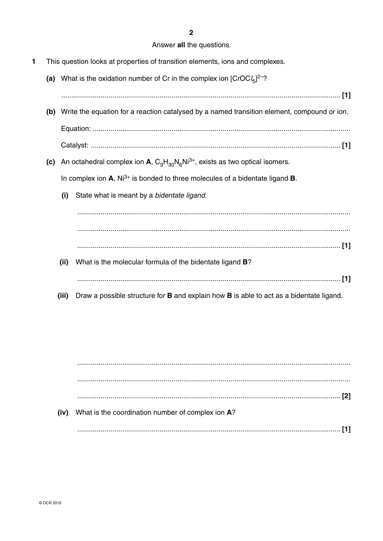$\overline{2}$ 

### Answer all the questions.

- $\blacksquare$ This question looks at properties of transition elements, ions and complexes.
	- (a) What is the oxidation number of Cr in the complex ion  $[CroCl<sub>5</sub>]^{2-\gamma}$ 
		-
	- (b) Write the equation for a reaction catalysed by a named transition element, compound or ion.
	- (c) An octahedral complex ion A,  $C_qH_{30}N_fN^{3+}$ , exists as two optical isomers.

In complex ion  $A$ ,  $Ni^{3+}$  is bonded to three molecules of a bidentate ligand **B**.

State what is meant by a bidentate ligand.  $(i)$ 

- (ii) What is the molecular formula of the bidentate ligand B?
- (iii) Draw a possible structure for **B** and explain how **B** is able to act as a bidentate ligand.

 $(iv)$ What is the coordination number of complex ion A?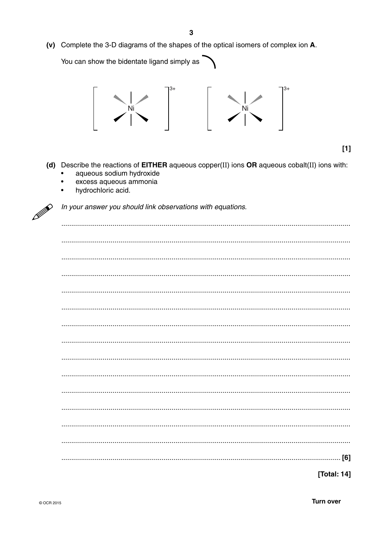(v) Complete the 3-D diagrams of the shapes of the optical isomers of complex ion A.

You can show the bidentate ligand simply as



 $[1]$ 

- (d) Describe the reactions of EITHER aqueous copper(II) ions OR aqueous cobalt(II) ions with:
	- aqueous sodium hydroxide
	- excess aqueous ammonia  $\bullet$
	- hydrochloric acid.  $\bullet$



In your answer you should link observations with equations.

| [Total: 14] |
|-------------|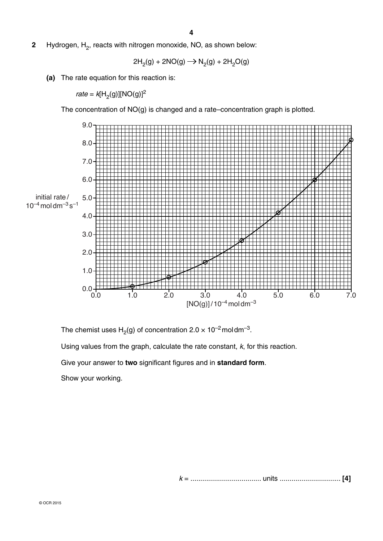**2** Hydrogen, H<sub>2</sub>, reacts with nitrogen monoxide, NO, as shown below:

$$
2H2(g) + 2NO(g) \longrightarrow N2(g) + 2H2O(g)
$$

 **(a)** The rate equation for this reaction is:

*rate* =  $k[H_2(g)][NO(g)]^2$ 

The concentration of NO(g) is changed and a rate–concentration graph is plotted.



The chemist uses  $H_2(g)$  of concentration  $2.0 \times 10^{-2}$  moldm<sup>-3</sup>. Using values from the graph, calculate the rate constant, *k*, for this reaction. Give your answer to **two** significant figures and in **standard form**. Show your working.

 *k* = .................................... units ............................... **[4]**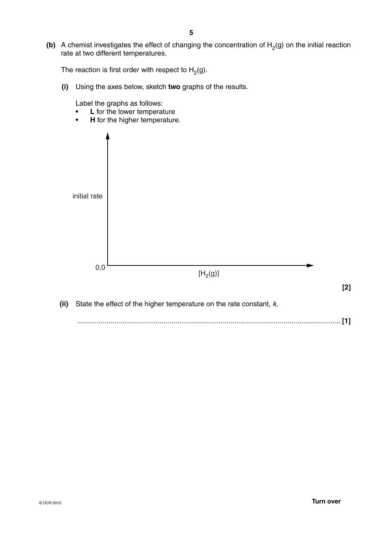**(b)** A chemist investigates the effect of changing the concentration of  $H_2(g)$  on the initial reaction rate at two different temperatures.

The reaction is first order with respect to  $H_2(g)$ .

 **(i)** Using the axes below, sketch **two** graphs of the results.

Label the graphs as follows:

- **L** for the lower temperature
- **H** for the higher temperature.

| initial rate |                              |       |
|--------------|------------------------------|-------|
| $_{0,0}$     | $[\mathsf{H}_2(\mathsf{g})]$ | $[2]$ |

 **(ii)** State the effect of the higher temperature on the rate constant, *k*.

...................................................................................................................................... **[1]**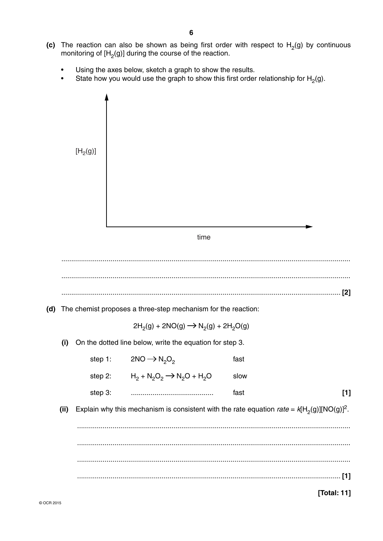- (c) The reaction can also be shown as being first order with respect to  $H_2(g)$  by continuous monitoring of [H<sub>2</sub>(g)] during the course of the reaction.
	- Using the axes below, sketch a graph to show the results.
	- State how you would use the graph to show this first order relationship for  $H_2(g)$ .

|      | [H <sub>2</sub> (g)] |                                                                                               |      |       |
|------|----------------------|-----------------------------------------------------------------------------------------------|------|-------|
|      |                      |                                                                                               |      |       |
|      |                      |                                                                                               |      |       |
|      |                      |                                                                                               |      |       |
|      |                      |                                                                                               |      |       |
|      |                      | time                                                                                          |      |       |
|      |                      |                                                                                               |      |       |
|      |                      |                                                                                               |      |       |
|      |                      |                                                                                               |      | $[2]$ |
| (d)  |                      |                                                                                               |      |       |
|      |                      | The chemist proposes a three-step mechanism for the reaction:                                 |      |       |
|      |                      | $2H_2(g) + 2NO(g) \rightarrow N_2(g) + 2H_2O(g)$                                              |      |       |
| (i)  |                      | On the dotted line below, write the equation for step 3.                                      |      |       |
|      | step 1:              | $2NO \rightarrow N_2O_2$                                                                      | fast |       |
|      | step 2:              | $H_2 + N_2O_2 \rightarrow N_2O + H_2O$                                                        | slow |       |
|      | step 3:              |                                                                                               | fast | $[1]$ |
| (ii) |                      | Explain why this mechanism is consistent with the rate equation rate = $k[H_2(g)][NO(g)]^2$ . |      |       |
|      |                      |                                                                                               |      |       |
|      |                      |                                                                                               |      |       |
|      |                      |                                                                                               |      |       |
|      |                      |                                                                                               |      |       |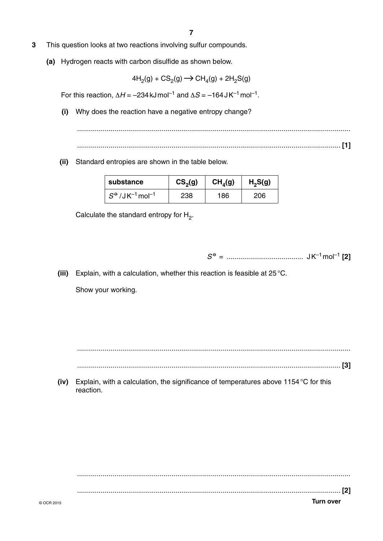- **3** This question looks at two reactions involving sulfur compounds.
	- **(a)** Hydrogen reacts with carbon disulfide as shown below.

$$
4H_2(g) + CS_2(g) \longrightarrow CH_4(g) + 2H_2S(g)
$$

For this reaction,  $ΔH = -234$  kJ mol<sup>-1</sup> and  $ΔS = -164$  J K<sup>-1</sup> mol<sup>-1</sup>.

 **(i)** Why does the reaction have a negative entropy change?

 ........................................................................................................................................... ...................................................................................................................................... **[1]**

 **(ii)** Standard entropies are shown in the table below.

| substance                              | CS <sub>2</sub> (g) | CH <sub>4</sub> (g) | $H_2S(g)$ |
|----------------------------------------|---------------------|---------------------|-----------|
| $S^{\Theta}/JK^{-1}$ mol <sup>-1</sup> | 238                 | 186                 | 206       |

Calculate the standard entropy for H<sub>2</sub>.

 *S* o = ....................................... J K–1 mol–1 **[2]**

 **(iii)** Explain, with a calculation, whether this reaction is feasible at 25 °C. Show your working.

...........................................................................................................................................

...................................................................................................................................... **[3]**

 **(iv)** Explain, with a calculation, the significance of temperatures above 1154 °C for this reaction.

© OCR 2015 **Turn over** ........................................................................................................................................... ...................................................................................................................................... **[2]**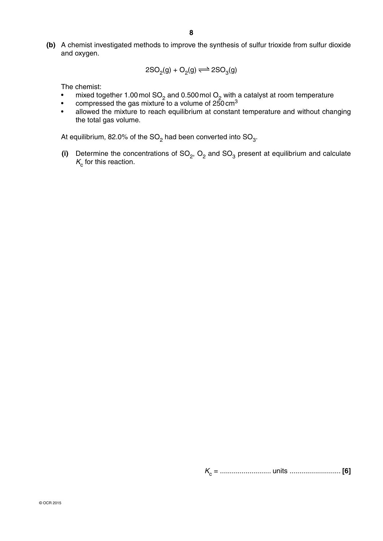**(b)** A chemist investigated methods to improve the synthesis of sulfur trioxide from sulfur dioxide and oxygen.

$$
\quad \ 2SO_2(g)+O_2(g)\!\rightleftharpoons 2SO_3(g)
$$

The chemist:

- mixed together 1.00 mol SO<sub>2</sub> and 0.500 mol O<sub>2</sub> with a catalyst at room temperature
- compressed the gas mixture to a volume of 250 cm<sup>3</sup>
	- allowed the mixture to reach equilibrium at constant temperature and without changing the total gas volume.

At equilibrium, 82.0% of the  $SO_2$  had been converted into  $SO_3$ .

(i) Determine the concentrations of  $SO_2$ ,  $O_2$  and  $SO_3$  present at equilibrium and calculate  $K_c$  for this reaction.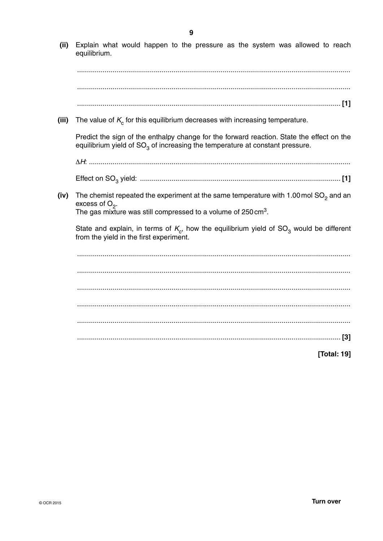(ii) Explain what would happen to the pressure as the system was allowed to reach equilibrium. (iii) The value of  $K_c$  for this equilibrium decreases with increasing temperature. Predict the sign of the enthalpy change for the forward reaction. State the effect on the equilibrium yield of  $SO<sub>3</sub>$  of increasing the temperature at constant pressure. (iv) The chemist repeated the experiment at the same temperature with 1.00 mol  $SO<sub>2</sub>$  and an excess of  $O_2$ . The gas mixture was still compressed to a volume of 250 cm<sup>3</sup>. State and explain, in terms of  $K_c$ , how the equilibrium yield of  $SO_3$  would be different from the yield in the first experiment. [Total: 19]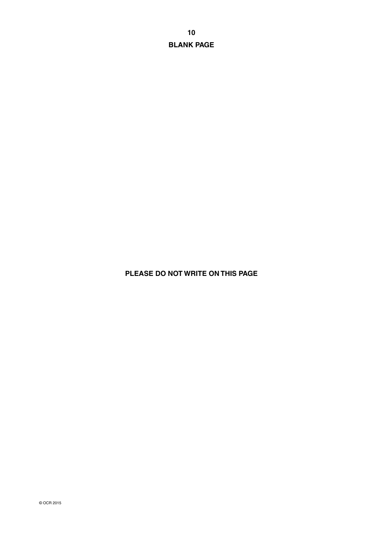**BLANK PAGE**

## **PLEASE DO NOT WRITE ON THIS PAGE**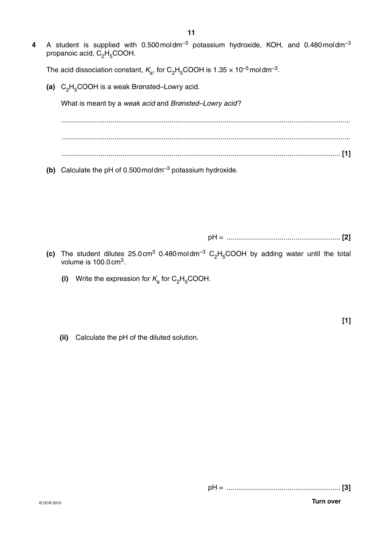**4** A student is supplied with 0.500 mol dm–3 potassium hydroxide, KOH, and 0.480 mol dm–3 propanoic acid,  $C_2H_5COOH$ .

The acid dissociation constant,  $K_a$ , for C<sub>2</sub>H<sub>5</sub>COOH is 1.35  $\times$  10<sup>-5</sup> moldm<sup>-3</sup>.

(a) C<sub>2</sub>H<sub>5</sub>COOH is a weak Brønsted–Lowry acid.

What is meant by a *weak acid* and *Brønsted–Lowry acid* ?

 ................................................................................................................................................... ................................................................................................................................................... .............................................................................................................................................. **[1]**

 **(b)** Calculate the pH of 0.500 mol dm–3 potassium hydroxide.

pH = .......................................................... **[2]**

- (c) The student dilutes  $25.0 \text{ cm}^3$  0.480 mol dm<sup>-3</sup> C<sub>2</sub>H<sub>5</sub>COOH by adding water until the total volume is  $100.0 \text{ cm}^3$ .
	- **(i)** Write the expression for  $K_a$  for  $C_2H_5COOH$ .

**[1]**

 **(ii)** Calculate the pH of the diluted solution.

pH = .......................................................... **[3]**

© OCR 2015 **Turn over**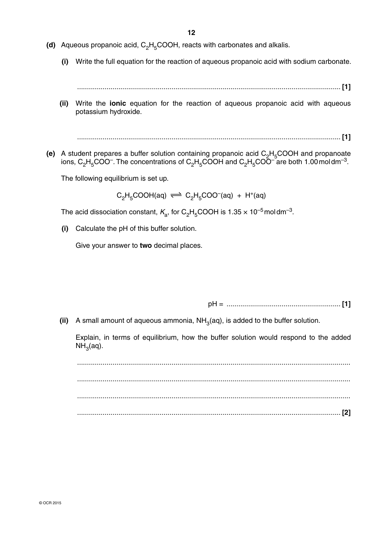- **(d)** Aqueous propanoic acid, C<sub>2</sub>H<sub>5</sub>COOH, reacts with carbonates and alkalis.
	- **(i)** Write the full equation for the reaction of aqueous propanoic acid with sodium carbonate.

...................................................................................................................................... **[1]**

 **(ii)** Write the **ionic** equation for the reaction of aqueous propanoic acid with aqueous potassium hydroxide.

...................................................................................................................................... **[1]**

**(e)** A student prepares a buffer solution containing propanoic acid  $C_2H_5COOH$  and propanoate ions,  $C_2H_5COO^-$ . The concentrations of  $C_2H_5COOH$  and  $C_2H_5COO^-$  are both 1.00 mol dm<sup>-3</sup>.

The following equilibrium is set up.

$$
C_2H_5COOH(aq) \Longleftrightarrow C_2H_5COO^-(aq) + H^+(aq)
$$

The acid dissociation constant,  $K_a$ , for C<sub>2</sub>H<sub>5</sub>COOH is 1.35  $\times$  10<sup>-5</sup> mol dm<sup>-3</sup>.

 **(i)** Calculate the pH of this buffer solution.

Give your answer to **two** decimal places.

pH = .......................................................... **[1]**

(ii) A small amount of aqueous ammonia,  $NH<sub>3</sub>(aq)$ , is added to the buffer solution.

Explain, in terms of equilibrium, how the buffer solution would respond to the added  $NH<sub>3</sub>(aq).$ 

 ........................................................................................................................................... ........................................................................................................................................... ........................................................................................................................................... ...................................................................................................................................... **[2]**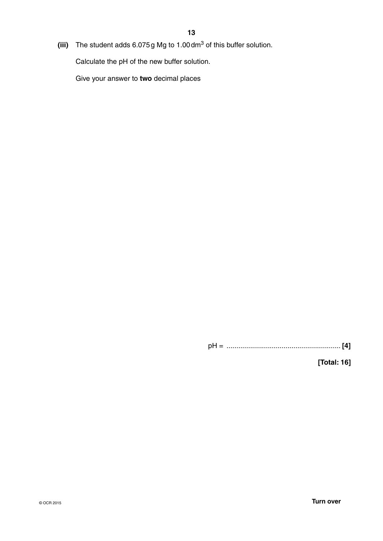**(iii)** The student adds 6.075 g Mg to 1.00 dm3 of this buffer solution.

Calculate the pH of the new buffer solution.

Give your answer to **two** decimal places

pH = .......................................................... **[4]**

**[Total: 16]**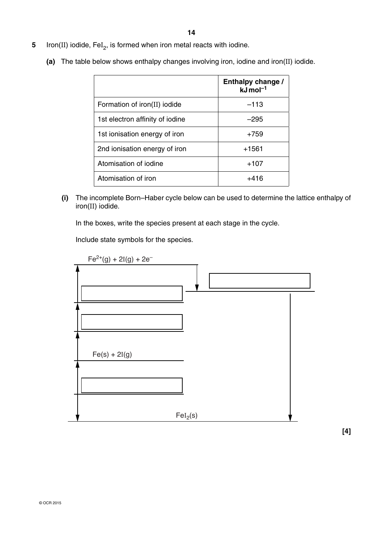- **5** Iron(II) iodide, FeI 2, is formed when iron metal reacts with iodine.
	- **(a)** The table below shows enthalpy changes involving iron, iodine and iron(II) iodide.

|                                 | Enthalpy change /<br>$kJ$ mol <sup>-1</sup> |
|---------------------------------|---------------------------------------------|
| Formation of iron(II) iodide    | $-113$                                      |
| 1st electron affinity of iodine | $-295$                                      |
| 1st ionisation energy of iron   | $+759$                                      |
| 2nd ionisation energy of iron   | $+1561$                                     |
| Atomisation of iodine           | +107                                        |
| Atomisation of iron             | +416                                        |

 **(i)** The incomplete Born–Haber cycle below can be used to determine the lattice enthalpy of iron(II) iodide.

In the boxes, write the species present at each stage in the cycle.

Include state symbols for the species.

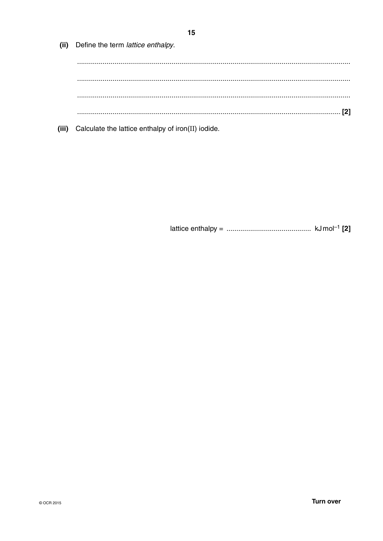(ii) Define the term lattice enthalpy. 

(iii) Calculate the lattice enthalpy of iron(II) iodide.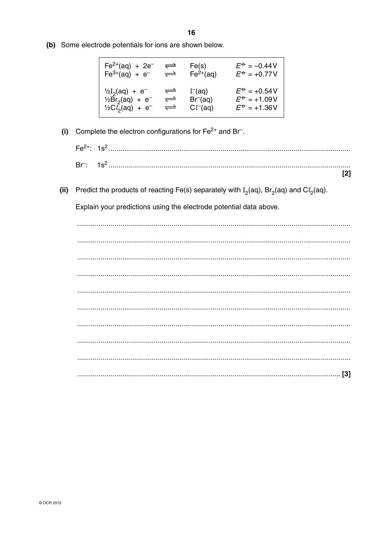(b) Some electrode potentials for ions are shown below.

| $Fe^{2+}(aq) + 2e^{-}$          | $\rightleftharpoons$ | Fe(s)        | $E^{\rm \oplus} = -0.44$ V |
|---------------------------------|----------------------|--------------|----------------------------|
| $Fe^{3+}(aq) + e^{-}$           | $\rightleftharpoons$ | $Fe2+(aq)$   | $E^{\rm \sigma}$ = +0.77V  |
| $\frac{1}{2}I_2(aq) + e^{-}$    | $\rightleftharpoons$ | $I-(aq)$     | $E^{\rm o}$ = +0.54V       |
| $\frac{1}{2}Br_{2}(aq) + e^{-}$ | $\rightleftharpoons$ | Br(aq)       | $E^{\rm o}$ = +1.09V       |
| $\frac{1}{2}Cl_{2}(aq) + e^{-}$ | $\rightleftharpoons$ | $Cl^{-}(aq)$ | $E^{\rm \oplus} = +1.36V$  |

- (i) Complete the electron configurations for  $Fe^{2+}$  and Br.
	- $Fe<sup>2+</sup>: 1s<sup>2</sup>....................$  $Br:$

 $[2]$ 

(ii) Predict the products of reacting Fe(s) separately with  $I_2(aq)$ , Br<sub>2</sub>(aq) and C $l_2(aq)$ .

Explain your predictions using the electrode potential data above.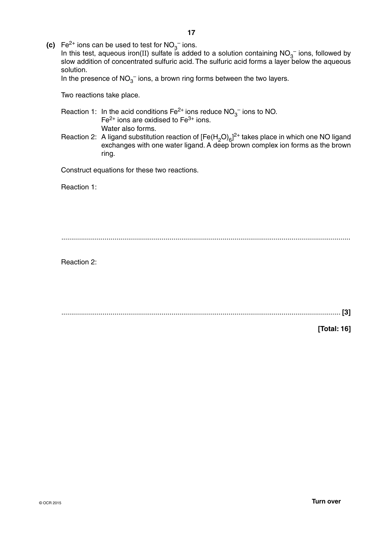**(c)**  $\text{Fe}^{2+}$  ions can be used to test for  $\text{NO}_3^-$  ions.

In this test, aqueous iron(II) sulfate is added to a solution containing  $NO<sub>3</sub><sup>-</sup>$  ions, followed by slow addition of concentrated sulfuric acid. The sulfuric acid forms a layer below the aqueous solution.

In the presence of  $NO<sub>3</sub><sup>-</sup>$  ions, a brown ring forms between the two layers.

Two reactions take place.

- Reaction 1: In the acid conditions  $\text{Fe}^{2+}$  ions reduce  $\text{NO}_3^-$  ions to NO.  $Fe<sup>2+</sup>$  ions are oxidised to  $Fe<sup>3+</sup>$  ions. Water also forms.
- Reaction 2: A ligand substitution reaction of  $[Fe(H<sub>2</sub>O)<sub>6</sub>]<sup>2+</sup>$  takes place in which one NO ligand exchanges with one water ligand. A deep brown complex ion forms as the brown ring.

Construct equations for these two reactions.

**Reaction 1:** 

...................................................................................................................................................

**Reaction 2:** 

.............................................................................................................................................. **[3]**

**[Total: 16]**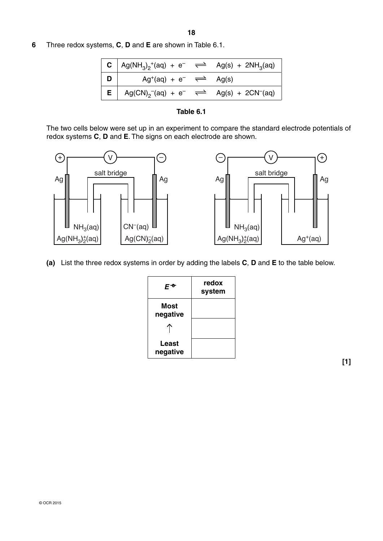- **18**
- **6** Three redox systems, **C**, **D** and **E** are shown in Table 6.1.

| <b>C</b> $\log(NH_3)_2^{\text{+}}(aq) + e^- \implies Ag(s) + 2NH_3(aq)$            |  |
|------------------------------------------------------------------------------------|--|
| <b>D</b> $\vert$ Ag <sup>+</sup> (aq) + e <sup>-</sup> $\rightleftharpoons$ Ag(s)  |  |
| <b>E</b> $\log(CN)_{2}^{\text{-}}(aq) + e^{-} \implies \text{Ag}(s) + 2CN^{-}(aq)$ |  |



The two cells below were set up in an experiment to compare the standard electrode potentials of redox systems **C**, **D** and **E**. The signs on each electrode are shown.



 **(a)** List the three redox systems in order by adding the labels **C**, **D** and **E** to the table below.

| ЕФ                | redox<br>system |
|-------------------|-----------------|
| Most<br>negative  |                 |
|                   |                 |
| Least<br>negative |                 |

**[1]**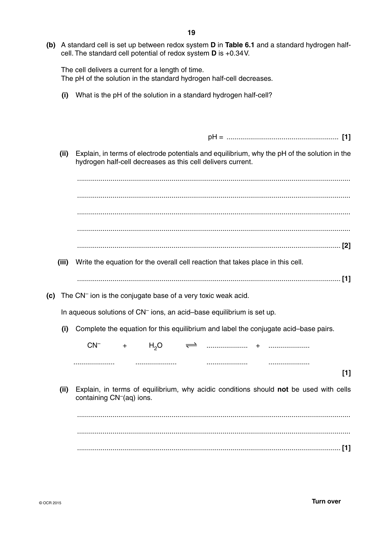**(b)** A standard cell is set up between redox system **D** in **Table 6.1** and a standard hydrogen halfcell. The standard cell potential of redox system **D** is +0.34 V.

The cell delivers a current for a length of time. The pH of the solution in the standard hydrogen half-cell decreases.

 **(i)** What is the pH of the solution in a standard hydrogen half-cell?

|--|

 **(ii)** Explain, in terms of electrode potentials and equilibrium, why the pH of the solution in the hydrogen half-cell decreases as this cell delivers current.

 ........................................................................................................................................... ........................................................................................................................................... ........................................................................................................................................... ...................................................................................................................................... **[2]**

- **(iii)** Write the equation for the overall cell reaction that takes place in this cell.
	- ...................................................................................................................................... **[1]**
- **(c)** The CN– ion is the conjugate base of a very toxic weak acid.

In aqueous solutions of CN– ions, an acid–base equilibrium is set up.

 **(i)** Complete the equation for this equilibrium and label the conjugate acid–base pairs.

CN– + H2O ..................... + ..................... ..................... ..................... ..................... .....................

**[1]**

 **(ii)** Explain, in terms of equilibrium, why acidic conditions should **not** be used with cells containing CN–(aq) ions.

 ........................................................................................................................................... ........................................................................................................................................... ...................................................................................................................................... **[1]**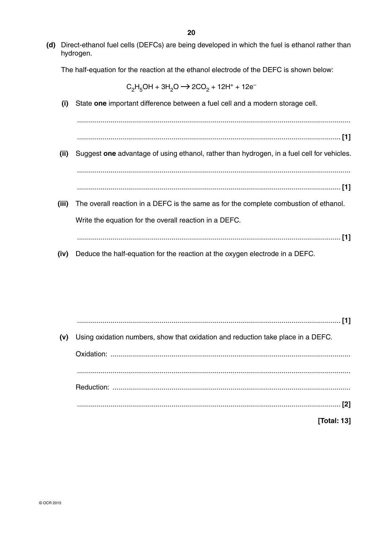**(d)** Direct-ethanol fuel cells (DEFCs) are being developed in which the fuel is ethanol rather than hydrogen.

The half-equation for the reaction at the ethanol electrode of the DEFC is shown below:

 $C_2H_5OH + 3H_2O \rightarrow 2CO_2 + 12H^+ + 12e^-$ 

 **(i)** State **one** important difference between a fuel cell and a modern storage cell.

 ........................................................................................................................................... ...................................................................................................................................... **[1] (ii)** Suggest **one** advantage of using ethanol, rather than hydrogen, in a fuel cell for vehicles.

...................................................................................................................................... **[1]**

...........................................................................................................................................

- **(iii)** The overall reaction in a DEFC is the same as for the complete combustion of ethanol. Write the equation for the overall reaction in a DEFC.
	- ...................................................................................................................................... **[1]**
- **(iv)** Deduce the half-equation for the reaction at the oxygen electrode in a DEFC.

 ...................................................................................................................................... **[1] (v)** Using oxidation numbers, show that oxidation and reduction take place in a DEFC. Oxidation: .......................................................................................................................... ........................................................................................................................................... Reduction: ......................................................................................................................... ...................................................................................................................................... **[2] [Total: 13]**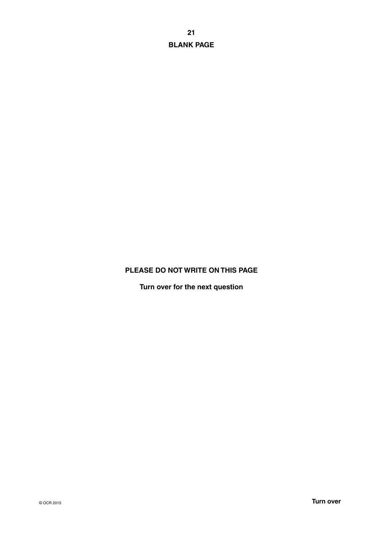**21 BLANK PAGE**

### **PLEASE DO NOT WRITE ON THIS PAGE**

**Turn over for the next question**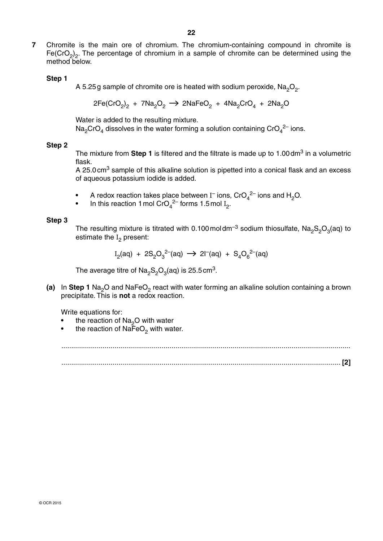**7** Chromite is the main ore of chromium. The chromium-containing compound in chromite is Fe(CrO<sub>2</sub>)<sub>2</sub>. The percentage of chromium in a sample of chromite can be determined using the method below.

### **Step 1**

A 5.25g sample of chromite ore is heated with sodium peroxide,  $Na<sub>2</sub>O<sub>2</sub>$ .

$$
2Fe(CrO2)2 + 7Na2O2 \rightarrow 2NaFeO2 + 4Na2CrO4 + 2Na2O
$$

Water is added to the resulting mixture.

Na<sub>2</sub>CrO<sub>4</sub> dissolves in the water forming a solution containing CrO<sub>4</sub><sup>2-</sup> ions.

### **Step 2**

The mixture from **Step 1** is filtered and the filtrate is made up to 1.00 dm<sup>3</sup> in a volumetric flask.

A 25.0 cm<sup>3</sup> sample of this alkaline solution is pipetted into a conical flask and an excess of aqueous potassium iodide is added.

- A redox reaction takes place between  $I^-$  ions,  $\text{CrO}_4{}^{2-}$  ions and  $\text{H}_2\text{O}$ .
- In this reaction 1 mol CrO<sub>4</sub><sup>2–</sup> forms 1.5 mol  $I_2$ .

### **Step 3**

The resulting mixture is titrated with 0.100 moldm<sup>-3</sup> sodium thiosulfate, Na<sub>2</sub>S<sub>2</sub>O<sub>3</sub>(aq) to estimate the I<sub>2</sub> present:

$$
I_2(aq) + 2S_2O_3^{2-}(aq) \rightarrow 2I^-(aq) + S_4O_6^{2-}(aq)
$$

The average titre of  $\text{Na}_2\text{S}_2\text{O}_3(\text{aq})$  is 25.5 cm<sup>3</sup>.

**(a)** In Step 1 Na<sub>2</sub>O and NaFeO<sub>2</sub> react with water forming an alkaline solution containing a brown precipitate. This is **not** a redox reaction.

Write equations for:

- the reaction of  $Na<sub>2</sub>O$  with water<br>• the reaction of NaFeO, with water
- the reaction of  $NaFeO<sub>2</sub>$  with water.

 ................................................................................................................................................... .............................................................................................................................................. **[2]**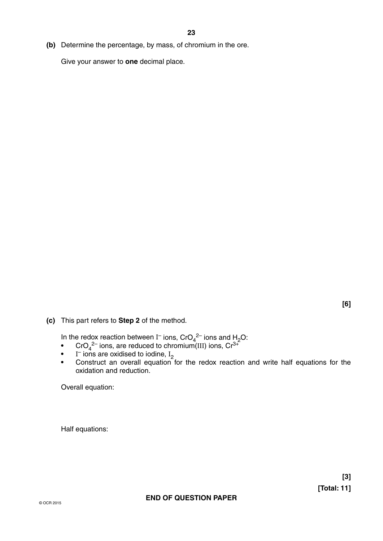**(b)** Determine the percentage, by mass, of chromium in the ore.

Give your answer to **one** decimal place.

**[6]**

 **(c)** This part refers to **Step 2** of the method.

In the redox reaction between I<sup>-</sup> ions,  $\text{CrO}_4^{2-}$  ions and H<sub>2</sub>O:

- CrO<sub>4</sub><sup>2–</sup> ions, are reduced to chromium(III) ions, Cr<sup>3+</sup>
	-
- I<sup>–</sup> ions are oxidised to iodine, I<sub>2</sub><br>• Construct an overall equation for the redox reaction and write half equations for the oxidation and reduction.

Overall equation:

Half equations: